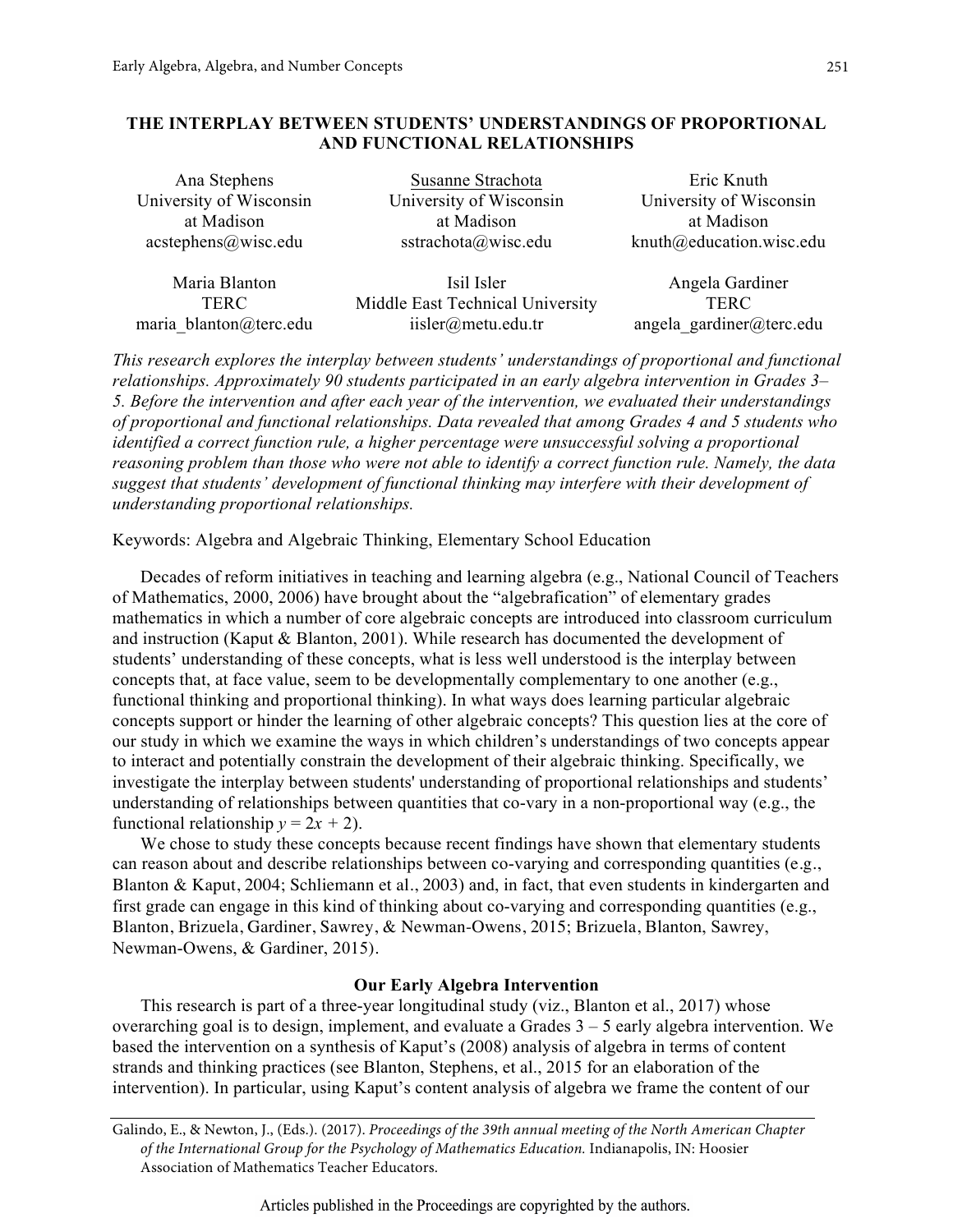# **THE INTERPLAY BETWEEN STUDENTS' UNDERSTANDINGS OF PROPORTIONAL AND FUNCTIONAL RELATIONSHIPS**

| Ana Stephens            | Susanne Strachota       | Eric Knuth                      |
|-------------------------|-------------------------|---------------------------------|
| University of Wisconsin | University of Wisconsin | University of Wisconsin         |
| at Madison              | at Madison              | at Madison                      |
| acstephens@wise.edu     | sstrachota@wisc.edu     | $k$ nuth $@$ education.wisc.edu |
|                         |                         |                                 |

maria blanton@terc.edu iisler@metu.edu.tr angela\_gardiner@terc.edu

Maria Blanton **Isil Isler** Angela Gardiner TERC Middle East Technical University TERC

*This research explores the interplay between students' understandings of proportional and functional relationships. Approximately 90 students participated in an early algebra intervention in Grades 3– 5. Before the intervention and after each year of the intervention, we evaluated their understandings of proportional and functional relationships. Data revealed that among Grades 4 and 5 students who identified a correct function rule, a higher percentage were unsuccessful solving a proportional reasoning problem than those who were not able to identify a correct function rule. Namely, the data suggest that students' development of functional thinking may interfere with their development of understanding proportional relationships.*

Keywords: Algebra and Algebraic Thinking, Elementary School Education

Decades of reform initiatives in teaching and learning algebra (e.g., National Council of Teachers of Mathematics, 2000, 2006) have brought about the "algebrafication" of elementary grades mathematics in which a number of core algebraic concepts are introduced into classroom curriculum and instruction (Kaput & Blanton, 2001). While research has documented the development of students' understanding of these concepts, what is less well understood is the interplay between concepts that, at face value, seem to be developmentally complementary to one another (e.g., functional thinking and proportional thinking). In what ways does learning particular algebraic concepts support or hinder the learning of other algebraic concepts? This question lies at the core of our study in which we examine the ways in which children's understandings of two concepts appear to interact and potentially constrain the development of their algebraic thinking. Specifically, we investigate the interplay between students' understanding of proportional relationships and students' understanding of relationships between quantities that co-vary in a non-proportional way (e.g., the functional relationship  $y = 2x + 2$ ).

We chose to study these concepts because recent findings have shown that elementary students can reason about and describe relationships between co-varying and corresponding quantities (e.g., Blanton & Kaput, 2004; Schliemann et al., 2003) and, in fact, that even students in kindergarten and first grade can engage in this kind of thinking about co-varying and corresponding quantities (e.g., Blanton, Brizuela, Gardiner, Sawrey, & Newman-Owens, 2015; Brizuela, Blanton, Sawrey, Newman-Owens, & Gardiner, 2015).

# **Our Early Algebra Intervention**

This research is part of a three-year longitudinal study (viz., Blanton et al., 2017) whose overarching goal is to design, implement, and evaluate a Grades 3 – 5 early algebra intervention. We based the intervention on a synthesis of Kaput's (2008) analysis of algebra in terms of content strands and thinking practices (see Blanton, Stephens, et al., 2015 for an elaboration of the intervention). In particular, using Kaput's content analysis of algebra we frame the content of our

Galindo, E., & Newton, J., (Eds.). (2017). *Proceedings of the 39th annual meeting of the North American Chapter of the International Group for the Psychology of Mathematics Education.* Indianapolis, IN: Hoosier Association of Mathematics Teacher Educators.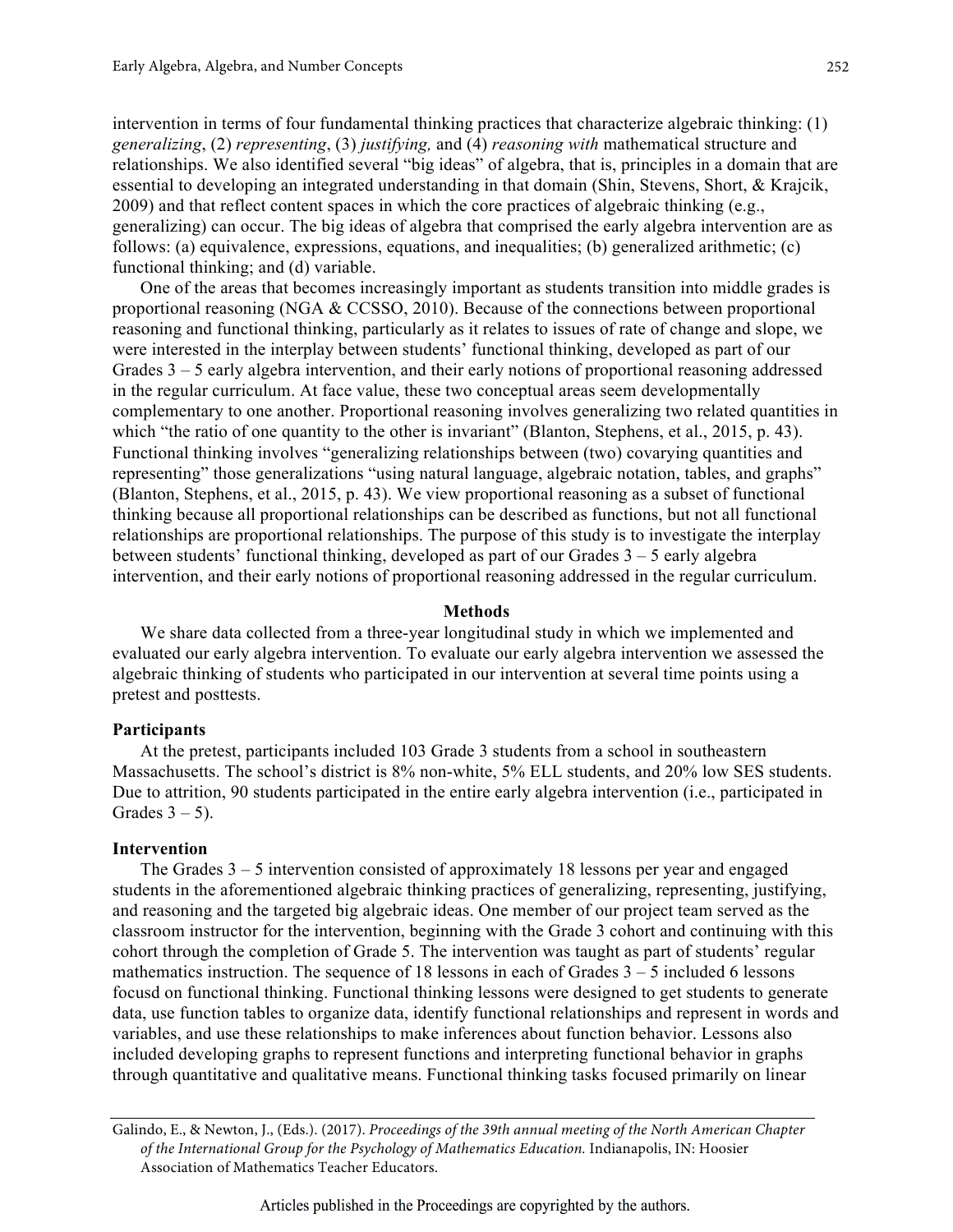intervention in terms of four fundamental thinking practices that characterize algebraic thinking: (1) *generalizing*, (2) *representing*, (3) *justifying,* and (4) *reasoning with* mathematical structure and relationships. We also identified several "big ideas" of algebra, that is, principles in a domain that are essential to developing an integrated understanding in that domain (Shin, Stevens, Short, & Krajcik, 2009) and that reflect content spaces in which the core practices of algebraic thinking (e.g., generalizing) can occur. The big ideas of algebra that comprised the early algebra intervention are as follows: (a) equivalence, expressions, equations, and inequalities; (b) generalized arithmetic; (c) functional thinking; and (d) variable.

One of the areas that becomes increasingly important as students transition into middle grades is proportional reasoning (NGA & CCSSO, 2010). Because of the connections between proportional reasoning and functional thinking, particularly as it relates to issues of rate of change and slope, we were interested in the interplay between students' functional thinking, developed as part of our Grades 3 – 5 early algebra intervention, and their early notions of proportional reasoning addressed in the regular curriculum. At face value, these two conceptual areas seem developmentally complementary to one another. Proportional reasoning involves generalizing two related quantities in which "the ratio of one quantity to the other is invariant" (Blanton, Stephens, et al., 2015, p. 43). Functional thinking involves "generalizing relationships between (two) covarying quantities and representing" those generalizations "using natural language, algebraic notation, tables, and graphs" (Blanton, Stephens, et al., 2015, p. 43). We view proportional reasoning as a subset of functional thinking because all proportional relationships can be described as functions, but not all functional relationships are proportional relationships. The purpose of this study is to investigate the interplay between students' functional thinking, developed as part of our Grades 3 – 5 early algebra intervention, and their early notions of proportional reasoning addressed in the regular curriculum.

#### **Methods**

We share data collected from a three-year longitudinal study in which we implemented and evaluated our early algebra intervention. To evaluate our early algebra intervention we assessed the algebraic thinking of students who participated in our intervention at several time points using a pretest and posttests.

#### **Participants**

At the pretest, participants included 103 Grade 3 students from a school in southeastern Massachusetts. The school's district is 8% non-white, 5% ELL students, and 20% low SES students. Due to attrition, 90 students participated in the entire early algebra intervention (i.e., participated in Grades  $3 - 5$ ).

#### **Intervention**

The Grades  $3 - 5$  intervention consisted of approximately 18 lessons per year and engaged students in the aforementioned algebraic thinking practices of generalizing, representing, justifying, and reasoning and the targeted big algebraic ideas. One member of our project team served as the classroom instructor for the intervention, beginning with the Grade 3 cohort and continuing with this cohort through the completion of Grade 5. The intervention was taught as part of students' regular mathematics instruction. The sequence of 18 lessons in each of Grades  $3 - 5$  included 6 lessons focusd on functional thinking. Functional thinking lessons were designed to get students to generate data, use function tables to organize data, identify functional relationships and represent in words and variables, and use these relationships to make inferences about function behavior. Lessons also included developing graphs to represent functions and interpreting functional behavior in graphs through quantitative and qualitative means. Functional thinking tasks focused primarily on linear

Galindo, E., & Newton, J., (Eds.). (2017). *Proceedings of the 39th annual meeting of the North American Chapter of the International Group for the Psychology of Mathematics Education.* Indianapolis, IN: Hoosier Association of Mathematics Teacher Educators.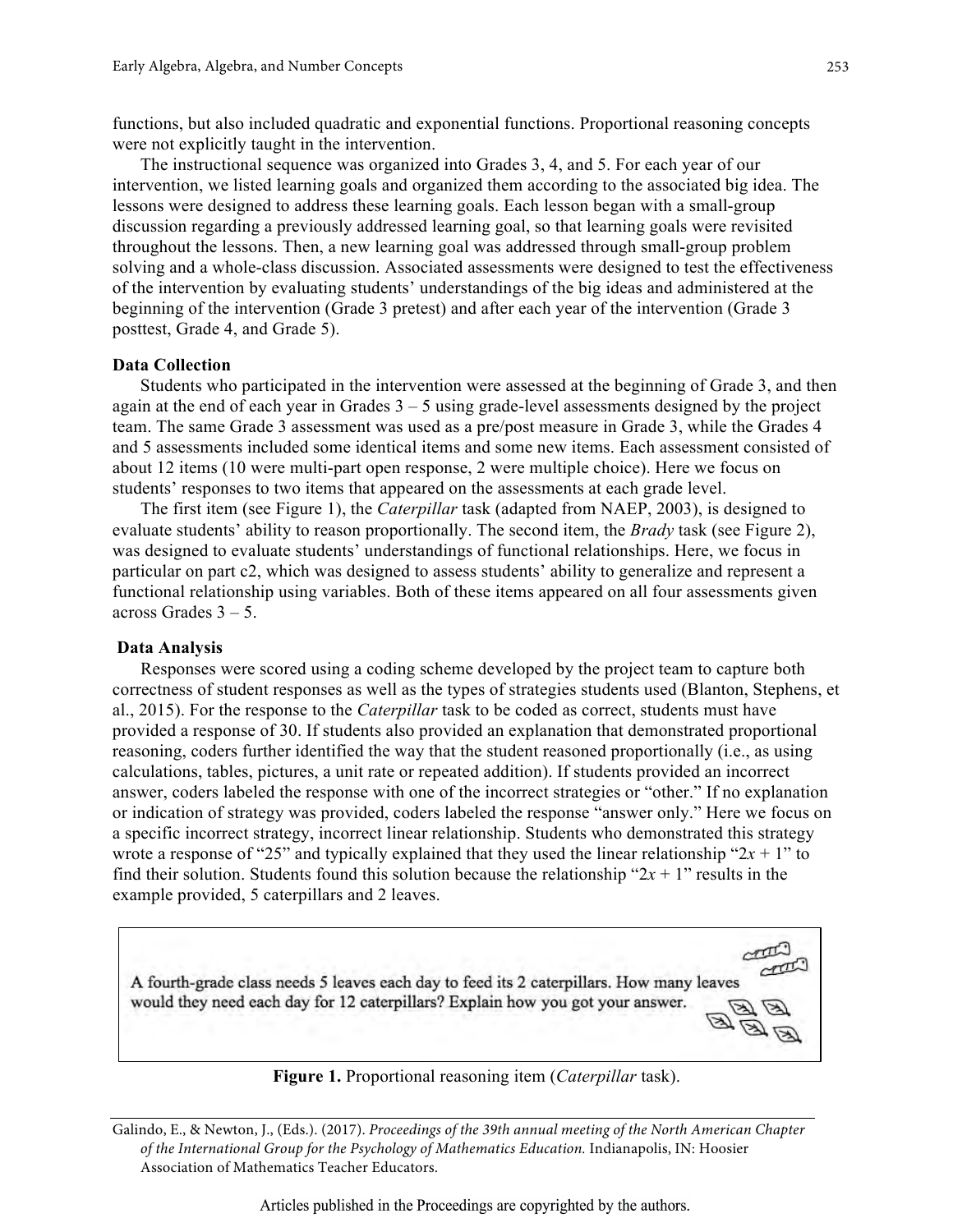functions, but also included quadratic and exponential functions. Proportional reasoning concepts were not explicitly taught in the intervention.

The instructional sequence was organized into Grades 3, 4, and 5. For each year of our intervention, we listed learning goals and organized them according to the associated big idea. The lessons were designed to address these learning goals. Each lesson began with a small-group discussion regarding a previously addressed learning goal, so that learning goals were revisited throughout the lessons. Then, a new learning goal was addressed through small-group problem solving and a whole-class discussion. Associated assessments were designed to test the effectiveness of the intervention by evaluating students' understandings of the big ideas and administered at the beginning of the intervention (Grade 3 pretest) and after each year of the intervention (Grade 3 posttest, Grade 4, and Grade 5).

#### **Data Collection**

Students who participated in the intervention were assessed at the beginning of Grade 3, and then again at the end of each year in Grades  $3 - 5$  using grade-level assessments designed by the project team. The same Grade 3 assessment was used as a pre/post measure in Grade 3, while the Grades 4 and 5 assessments included some identical items and some new items. Each assessment consisted of about 12 items (10 were multi-part open response, 2 were multiple choice). Here we focus on students' responses to two items that appeared on the assessments at each grade level.

The first item (see Figure 1), the *Caterpillar* task (adapted from NAEP, 2003), is designed to evaluate students' ability to reason proportionally. The second item, the *Brady* task (see Figure 2), was designed to evaluate students' understandings of functional relationships. Here, we focus in particular on part c2, which was designed to assess students' ability to generalize and represent a functional relationship using variables. Both of these items appeared on all four assessments given across Grades  $3 - 5$ .

### **Data Analysis**

Responses were scored using a coding scheme developed by the project team to capture both correctness of student responses as well as the types of strategies students used (Blanton, Stephens, et al., 2015). For the response to the *Caterpillar* task to be coded as correct, students must have provided a response of 30. If students also provided an explanation that demonstrated proportional reasoning, coders further identified the way that the student reasoned proportionally (i.e., as using calculations, tables, pictures, a unit rate or repeated addition). If students provided an incorrect answer, coders labeled the response with one of the incorrect strategies or "other." If no explanation or indication of strategy was provided, coders labeled the response "answer only." Here we focus on a specific incorrect strategy, incorrect linear relationship. Students who demonstrated this strategy wrote a response of "25" and typically explained that they used the linear relationship " $2x + 1$ " to find their solution. Students found this solution because the relationship " $2x + 1$ " results in the example provided, 5 caterpillars and 2 leaves.



**Figure 1.** Proportional reasoning item (*Caterpillar* task).

Galindo, E., & Newton, J., (Eds.). (2017). *Proceedings of the 39th annual meeting of the North American Chapter of the International Group for the Psychology of Mathematics Education.* Indianapolis, IN: Hoosier Association of Mathematics Teacher Educators.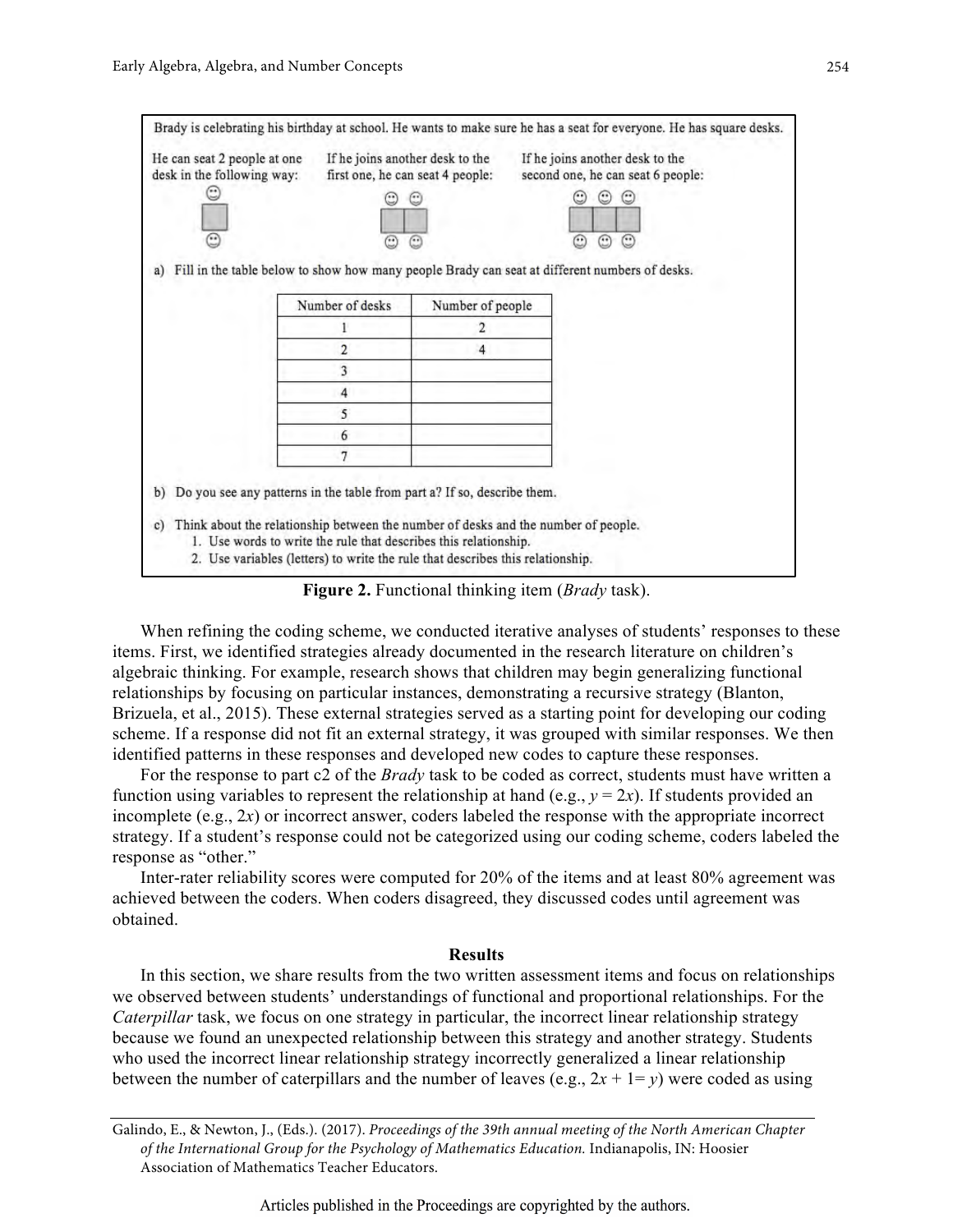

**Figure 2.** Functional thinking item (*Brady* task).

When refining the coding scheme, we conducted iterative analyses of students' responses to these items. First, we identified strategies already documented in the research literature on children's algebraic thinking. For example, research shows that children may begin generalizing functional relationships by focusing on particular instances, demonstrating a recursive strategy (Blanton, Brizuela, et al., 2015). These external strategies served as a starting point for developing our coding scheme. If a response did not fit an external strategy, it was grouped with similar responses. We then identified patterns in these responses and developed new codes to capture these responses.

For the response to part c2 of the *Brady* task to be coded as correct, students must have written a function using variables to represent the relationship at hand (e.g.,  $y = 2x$ ). If students provided an incomplete (e.g., 2*x*) or incorrect answer, coders labeled the response with the appropriate incorrect strategy. If a student's response could not be categorized using our coding scheme, coders labeled the response as "other."

Inter-rater reliability scores were computed for 20% of the items and at least 80% agreement was achieved between the coders. When coders disagreed, they discussed codes until agreement was obtained.

# **Results**

In this section, we share results from the two written assessment items and focus on relationships we observed between students' understandings of functional and proportional relationships. For the *Caterpillar* task, we focus on one strategy in particular, the incorrect linear relationship strategy because we found an unexpected relationship between this strategy and another strategy. Students who used the incorrect linear relationship strategy incorrectly generalized a linear relationship between the number of caterpillars and the number of leaves (e.g.,  $2x + 1 = y$ ) were coded as using

Galindo, E., & Newton, J., (Eds.). (2017). *Proceedings of the 39th annual meeting of the North American Chapter of the International Group for the Psychology of Mathematics Education.* Indianapolis, IN: Hoosier Association of Mathematics Teacher Educators.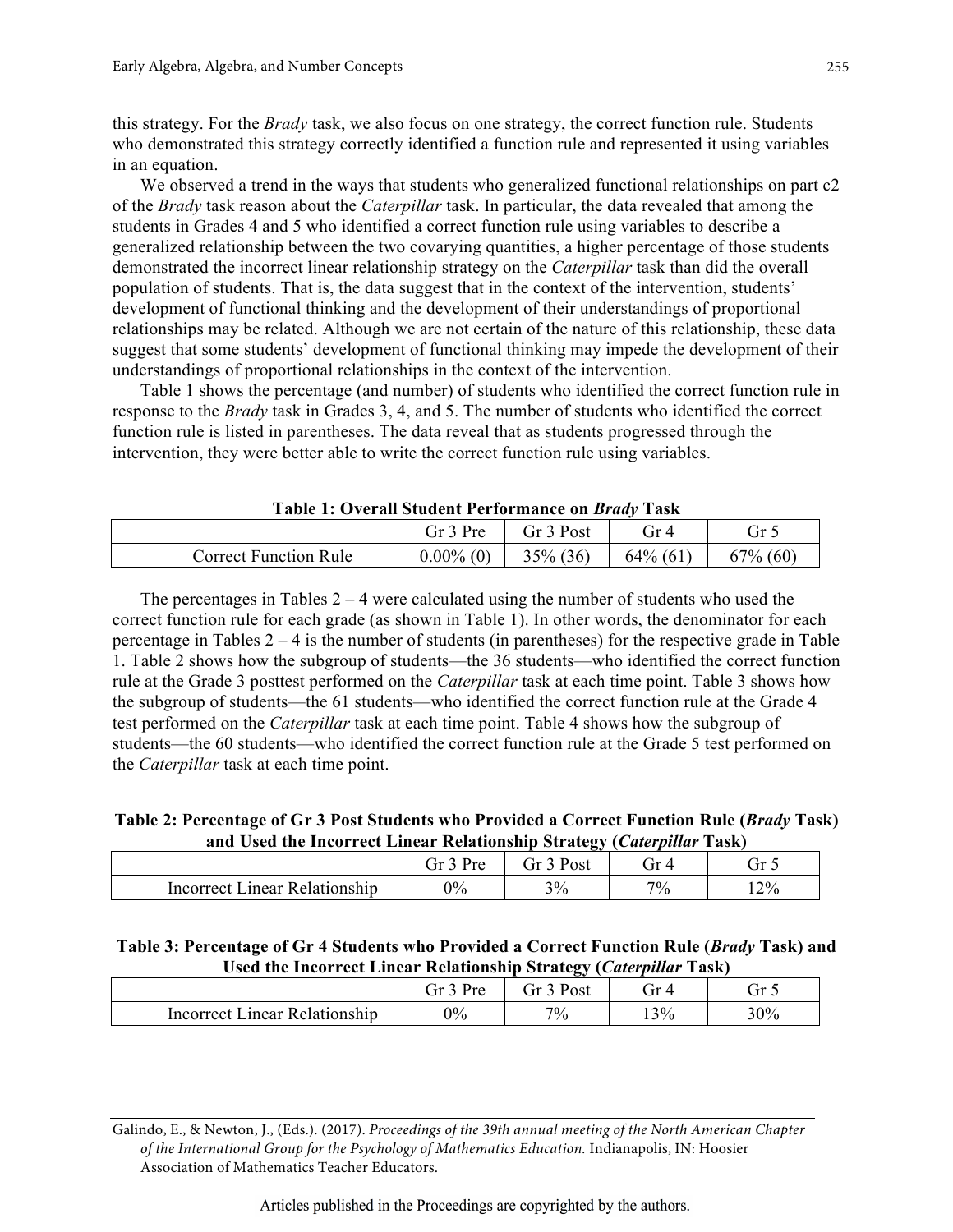this strategy. For the *Brady* task, we also focus on one strategy, the correct function rule. Students who demonstrated this strategy correctly identified a function rule and represented it using variables in an equation.

We observed a trend in the ways that students who generalized functional relationships on part c2 of the *Brady* task reason about the *Caterpillar* task. In particular, the data revealed that among the students in Grades 4 and 5 who identified a correct function rule using variables to describe a generalized relationship between the two covarying quantities, a higher percentage of those students demonstrated the incorrect linear relationship strategy on the *Caterpillar* task than did the overall population of students. That is, the data suggest that in the context of the intervention, students' development of functional thinking and the development of their understandings of proportional relationships may be related. Although we are not certain of the nature of this relationship, these data suggest that some students' development of functional thinking may impede the development of their understandings of proportional relationships in the context of the intervention.

Table 1 shows the percentage (and number) of students who identified the correct function rule in response to the *Brady* task in Grades 3, 4, and 5. The number of students who identified the correct function rule is listed in parentheses. The data reveal that as students progressed through the intervention, they were better able to write the correct function rule using variables.

| Table 1. Overall Student I efformance on <i>Drugy</i> Task |                               |                                 |             |             |
|------------------------------------------------------------|-------------------------------|---------------------------------|-------------|-------------|
|                                                            |                               | Gr $3$ Pre $\qquad$ Gr $3$ Post | Gr4         |             |
| <b>Correct Function Rule</b>                               | $0.00\%$ (0) $\vert$ 35% (36) |                                 | $64\%$ (61) | $67\%$ (60) |

**Table 1: Overall Student Performance on** *Brady* **Task**

The percentages in Tables  $2 - 4$  were calculated using the number of students who used the correct function rule for each grade (as shown in Table 1). In other words, the denominator for each percentage in Tables 2 – 4 is the number of students (in parentheses) for the respective grade in Table 1. Table 2 shows how the subgroup of students—the 36 students—who identified the correct function rule at the Grade 3 posttest performed on the *Caterpillar* task at each time point. Table 3 shows how the subgroup of students—the 61 students—who identified the correct function rule at the Grade 4 test performed on the *Caterpillar* task at each time point. Table 4 shows how the subgroup of students—the 60 students—who identified the correct function rule at the Grade 5 test performed on the *Caterpillar* task at each time point.

**Table 2: Percentage of Gr 3 Post Students who Provided a Correct Function Rule (***Brady* **Task) and Used the Incorrect Linear Relationship Strategy (***Caterpillar* **Task)**

|                                 | $Dr_{\alpha}$ | Ĵ٢<br>Post | ЛL    | JI J |
|---------------------------------|---------------|------------|-------|------|
| inear Relationship<br>Incorrect | $0\%$         | 3%         | $7\%$ | 12%  |

# **Table 3: Percentage of Gr 4 Students who Provided a Correct Function Rule (***Brady* **Task) and Used the Incorrect Linear Relationship Strategy (***Caterpillar* **Task)**

|                               | $\sqrt{2}$<br>νr≏ | $\tilde{}$<br>טש∪ | ٦r. | ۔ اک |
|-------------------------------|-------------------|-------------------|-----|------|
| Incorrect Linear Relationship | $0\%$             | $7\%$             | 13% | 30%  |

Galindo, E., & Newton, J., (Eds.). (2017). *Proceedings of the 39th annual meeting of the North American Chapter of the International Group for the Psychology of Mathematics Education.* Indianapolis, IN: Hoosier Association of Mathematics Teacher Educators.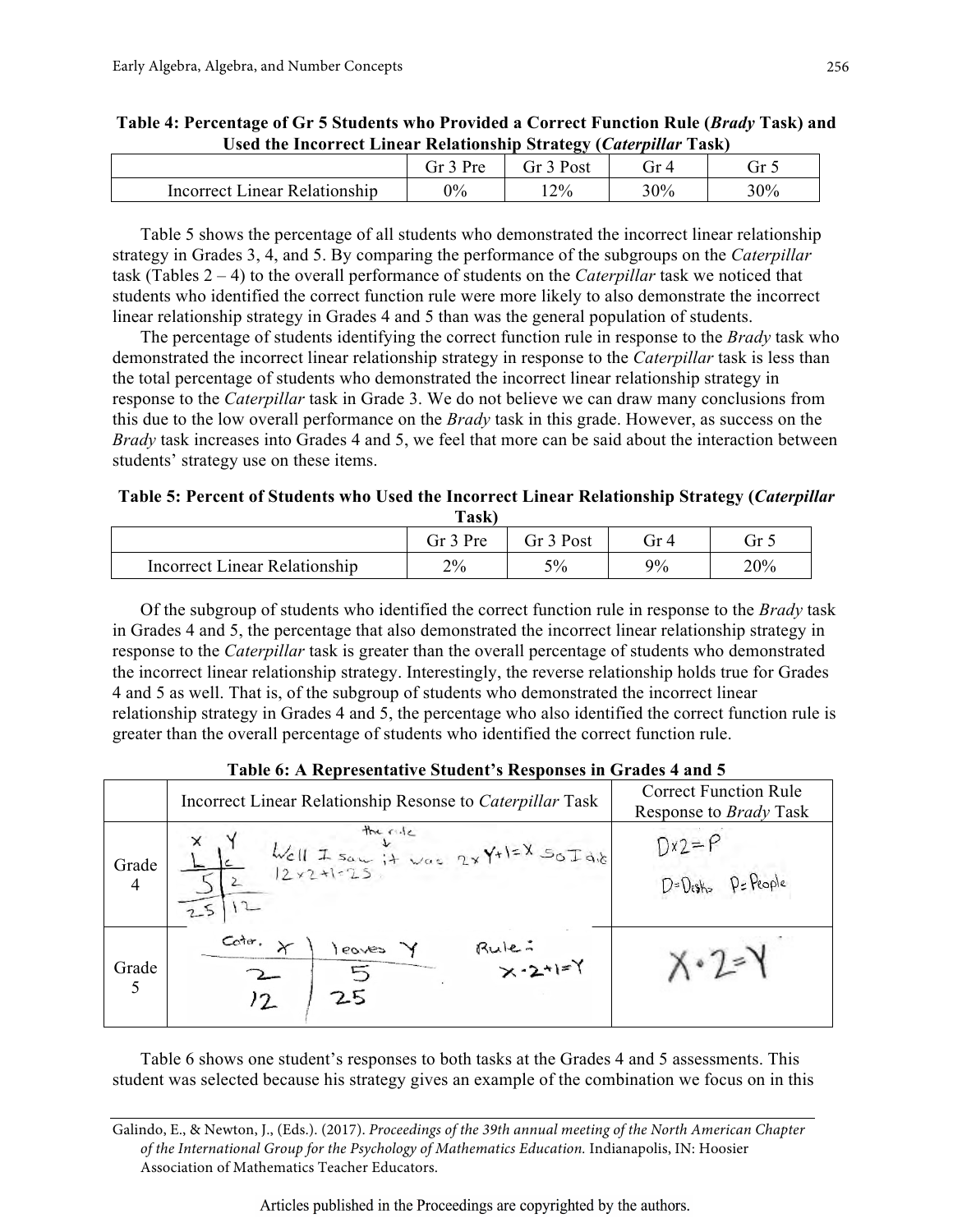| ______<br>-----<br>.               | - - - -               |      | ------<br>.<br>----- |               |
|------------------------------------|-----------------------|------|----------------------|---------------|
|                                    | $Dr_{\alpha}$<br>. it | Post | -it                  | $\rightarrow$ |
| : Linear Relationship<br>Incorrect | 0%                    | 12%  | 30%                  | 30%           |
|                                    |                       |      |                      |               |

| Table 4: Percentage of Gr 5 Students who Provided a Correct Function Rule ( <i>Brady</i> Task) and |  |
|----------------------------------------------------------------------------------------------------|--|
| Used the Incorrect Linear Relationship Strategy (Caterpillar Task)                                 |  |

Table 5 shows the percentage of all students who demonstrated the incorrect linear relationship strategy in Grades 3, 4, and 5. By comparing the performance of the subgroups on the *Caterpillar* task (Tables 2 – 4) to the overall performance of students on the *Caterpillar* task we noticed that students who identified the correct function rule were more likely to also demonstrate the incorrect linear relationship strategy in Grades 4 and 5 than was the general population of students.

The percentage of students identifying the correct function rule in response to the *Brady* task who demonstrated the incorrect linear relationship strategy in response to the *Caterpillar* task is less than the total percentage of students who demonstrated the incorrect linear relationship strategy in response to the *Caterpillar* task in Grade 3. We do not believe we can draw many conclusions from this due to the low overall performance on the *Brady* task in this grade. However, as success on the *Brady* task increases into Grades 4 and 5, we feel that more can be said about the interaction between students' strategy use on these items.

**Table 5: Percent of Students who Used the Incorrect Linear Relationship Strategy (***Caterpillar* **Task)**

| ------                        |                     |            |    |                 |
|-------------------------------|---------------------|------------|----|-----------------|
|                               | $\Omega_{\text{r}}$ | Post<br>Ĵ٢ | Ĵ٢ | $\rightarrow r$ |
| Incorrect Linear Relationship | 2%                  | 5%         | 9% | 20%             |

Of the subgroup of students who identified the correct function rule in response to the *Brady* task in Grades 4 and 5, the percentage that also demonstrated the incorrect linear relationship strategy in response to the *Caterpillar* task is greater than the overall percentage of students who demonstrated the incorrect linear relationship strategy. Interestingly, the reverse relationship holds true for Grades 4 and 5 as well. That is, of the subgroup of students who demonstrated the incorrect linear relationship strategy in Grades 4 and 5, the percentage who also identified the correct function rule is greater than the overall percentage of students who identified the correct function rule.

| Table 6: A Representative Student's Responses in Grades 4 and 5 |                                                                                                                                                                                                                                                                                                                  |                                                               |  |  |
|-----------------------------------------------------------------|------------------------------------------------------------------------------------------------------------------------------------------------------------------------------------------------------------------------------------------------------------------------------------------------------------------|---------------------------------------------------------------|--|--|
|                                                                 | Incorrect Linear Relationship Resonse to Caterpillar Task                                                                                                                                                                                                                                                        | <b>Correct Function Rule</b><br>Response to <i>Brady</i> Task |  |  |
| Grade<br>$\overline{4}$                                         | the rule<br>$\frac{1}{2}$<br>$\frac{1}{2}$<br>$\frac{1}{2}$<br>$\frac{1}{2}$<br>$\frac{1}{2}$<br>$\frac{1}{2}$<br>$\frac{1}{2}$<br>$\frac{1}{2}$<br>$\frac{1}{2}$<br>$\frac{1}{2}$<br>$\frac{1}{2}$<br><br>$\frac{1}{2}$<br><br><br><br><br><br><br><br><br><br><br><br><br><br><br><br><br><br><br><br><br><br> | $Dx2 = P$<br>D=Desth> P=People                                |  |  |
| Grade                                                           | Cotra.<br>$Rule: x - 2 + 1 = Y$<br>leaves                                                                                                                                                                                                                                                                        |                                                               |  |  |

Table 6 shows one student's responses to both tasks at the Grades 4 and 5 assessments. This student was selected because his strategy gives an example of the combination we focus on in this

Galindo, E., & Newton, J., (Eds.). (2017). *Proceedings of the 39th annual meeting of the North American Chapter of the International Group for the Psychology of Mathematics Education.* Indianapolis, IN: Hoosier Association of Mathematics Teacher Educators.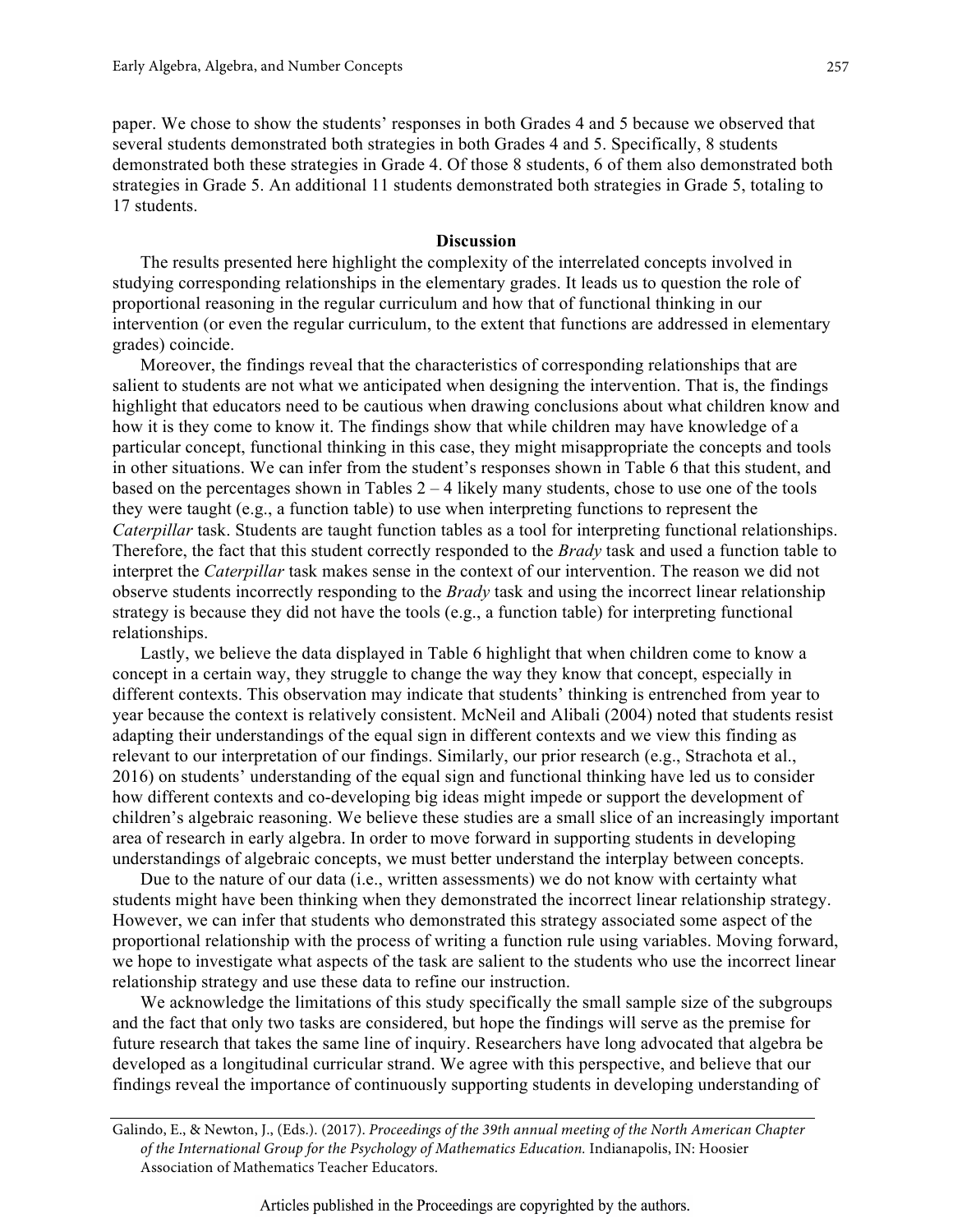paper. We chose to show the students' responses in both Grades 4 and 5 because we observed that several students demonstrated both strategies in both Grades 4 and 5. Specifically, 8 students demonstrated both these strategies in Grade 4. Of those 8 students, 6 of them also demonstrated both strategies in Grade 5. An additional 11 students demonstrated both strategies in Grade 5, totaling to 17 students.

# **Discussion**

The results presented here highlight the complexity of the interrelated concepts involved in studying corresponding relationships in the elementary grades. It leads us to question the role of proportional reasoning in the regular curriculum and how that of functional thinking in our intervention (or even the regular curriculum, to the extent that functions are addressed in elementary grades) coincide.

Moreover, the findings reveal that the characteristics of corresponding relationships that are salient to students are not what we anticipated when designing the intervention. That is, the findings highlight that educators need to be cautious when drawing conclusions about what children know and how it is they come to know it. The findings show that while children may have knowledge of a particular concept, functional thinking in this case, they might misappropriate the concepts and tools in other situations. We can infer from the student's responses shown in Table 6 that this student, and based on the percentages shown in Tables  $2 - 4$  likely many students, chose to use one of the tools they were taught (e.g., a function table) to use when interpreting functions to represent the *Caterpillar* task. Students are taught function tables as a tool for interpreting functional relationships. Therefore, the fact that this student correctly responded to the *Brady* task and used a function table to interpret the *Caterpillar* task makes sense in the context of our intervention. The reason we did not observe students incorrectly responding to the *Brady* task and using the incorrect linear relationship strategy is because they did not have the tools (e.g., a function table) for interpreting functional relationships.

Lastly, we believe the data displayed in Table 6 highlight that when children come to know a concept in a certain way, they struggle to change the way they know that concept, especially in different contexts. This observation may indicate that students' thinking is entrenched from year to year because the context is relatively consistent. McNeil and Alibali (2004) noted that students resist adapting their understandings of the equal sign in different contexts and we view this finding as relevant to our interpretation of our findings. Similarly, our prior research (e.g., Strachota et al., 2016) on students' understanding of the equal sign and functional thinking have led us to consider how different contexts and co-developing big ideas might impede or support the development of children's algebraic reasoning. We believe these studies are a small slice of an increasingly important area of research in early algebra. In order to move forward in supporting students in developing understandings of algebraic concepts, we must better understand the interplay between concepts.

Due to the nature of our data (i.e., written assessments) we do not know with certainty what students might have been thinking when they demonstrated the incorrect linear relationship strategy. However, we can infer that students who demonstrated this strategy associated some aspect of the proportional relationship with the process of writing a function rule using variables. Moving forward, we hope to investigate what aspects of the task are salient to the students who use the incorrect linear relationship strategy and use these data to refine our instruction.

We acknowledge the limitations of this study specifically the small sample size of the subgroups and the fact that only two tasks are considered, but hope the findings will serve as the premise for future research that takes the same line of inquiry. Researchers have long advocated that algebra be developed as a longitudinal curricular strand. We agree with this perspective, and believe that our findings reveal the importance of continuously supporting students in developing understanding of

Galindo, E., & Newton, J., (Eds.). (2017). *Proceedings of the 39th annual meeting of the North American Chapter of the International Group for the Psychology of Mathematics Education.* Indianapolis, IN: Hoosier Association of Mathematics Teacher Educators.